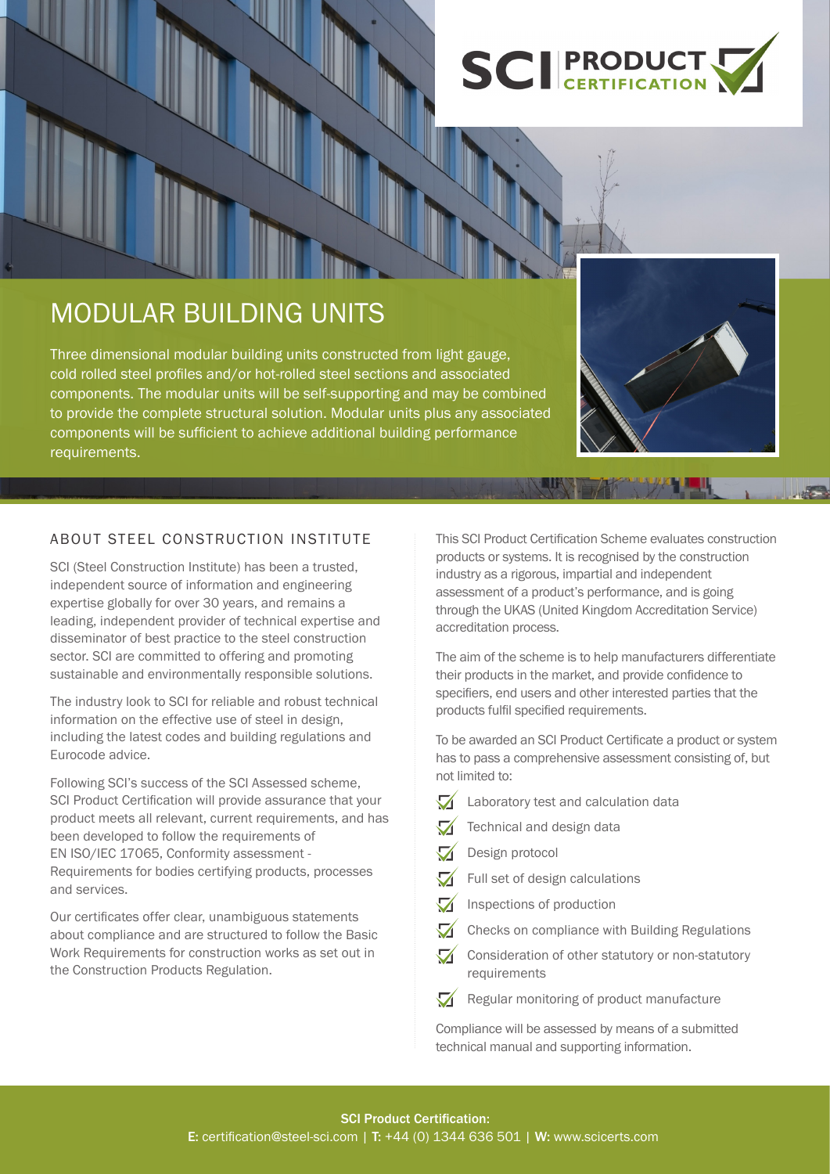

# MODULAR BUILDING UNITS

Three dimensional modular building units constructed from light gauge, cold rolled steel profiles and/or hot-rolled steel sections and associated components. The modular units will be self-supporting and may be combined to provide the complete structural solution. Modular units plus any associated components will be sufficient to achieve additional building performance requirements.

## ABOUT STEEL CONSTRUCTION INSTITUTE

SCI (Steel Construction Institute) has been a trusted, independent source of information and engineering expertise globally for over 30 years, and remains a leading, independent provider of technical expertise and disseminator of best practice to the steel construction sector. SCI are committed to offering and promoting sustainable and environmentally responsible solutions.

The industry look to SCI for reliable and robust technical information on the effective use of steel in design, including the latest codes and building regulations and Eurocode advice.

Following SCI's success of the SCI Assessed scheme, SCI Product Certification will provide assurance that your product meets all relevant, current requirements, and has been developed to follow the requirements of EN ISO/IEC 17065, Conformity assessment - Requirements for bodies certifying products, processes and services.

Our certificates offer clear, unambiguous statements about compliance and are structured to follow the Basic Work Requirements for construction works as set out in the Construction Products Regulation.

This SCI Product Certification Scheme evaluates construction products or systems. It is recognised by the construction industry as a rigorous, impartial and independent assessment of a product's performance, and is going through the UKAS (United Kingdom Accreditation Service) accreditation process.

The aim of the scheme is to help manufacturers differentiate their products in the market, and provide confidence to specifiers, end users and other interested parties that the products fulfil specified requirements.

To be awarded an SCI Product Certificate a product or system has to pass a comprehensive assessment consisting of, but not limited to:

- $\blacktriangledown$ Laboratory test and calculation data
- Technical and design data  $\bf{Z}$
- $\blacktriangledown$ Design protocol
- Full set of design calculations  $\mathcal{A}$
- $\mathcal{A}$ Inspections of production
- $\Delta$ Checks on compliance with Building Regulations
- $\mathcal{A}$ Consideration of other statutory or non-statutory requirements
- $\sqrt{\phantom{a}}$  Regular monitoring of product manufacture

Compliance will be assessed by means of a submitted technical manual and supporting information.